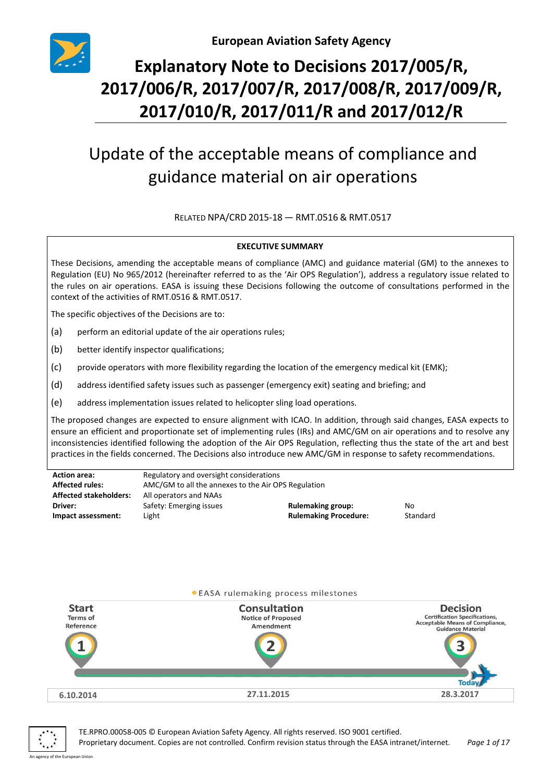

# **Explanatory Note to Decisions 2017/005/R, 2017/006/R, 2017/007/R, 2017/008/R, 2017/009/R, 2017/010/R, 2017/011/R and 2017/012/R**

# Update of the acceptable means of compliance and guidance material on air operations

RELATED NPA/CRD 2015-18 — RMT.0516 & RMT.0517

#### **EXECUTIVE SUMMARY**

These Decisions, amending the acceptable means of compliance (AMC) and guidance material (GM) to the annexes to Regulation (EU) No 965/2012 (hereinafter referred to as the 'Air OPS Regulation'), address a regulatory issue related to the rules on air operations. EASA is issuing these Decisions following the outcome of consultations performed in the context of the activities of RMT.0516 & RMT.0517.

The specific objectives of the Decisions are to:

- (a) perform an editorial update of the air operations rules;
- (b) better identify inspector qualifications;
- (c) provide operators with more flexibility regarding the location of the emergency medical kit (EMK);
- (d) address identified safety issues such as passenger (emergency exit) seating and briefing; and
- (e) address implementation issues related to helicopter sling load operations.

The proposed changes are expected to ensure alignment with ICAO. In addition, through said changes, EASA expects to ensure an efficient and proportionate set of implementing rules (IRs) and AMC/GM on air operations and to resolve any inconsistencies identified following the adoption of the Air OPS Regulation, reflecting thus the state of the art and best practices in the fields concerned. The Decisions also introduce new AMC/GM in response to safety recommendations.

| <b>Action area:</b>           | Regulatory and oversight considerations             |                              |          |
|-------------------------------|-----------------------------------------------------|------------------------------|----------|
| <b>Affected rules:</b>        | AMC/GM to all the annexes to the Air OPS Regulation |                              |          |
| <b>Affected stakeholders:</b> | All operators and NAAs                              |                              |          |
| Driver:                       | Safety: Emerging issues                             | <b>Rulemaking group:</b>     | No       |
| Impact assessment:            | Light                                               | <b>Rulemaking Procedure:</b> | Standard |





TE.RPRO.00058-005 © European Aviation Safety Agency. All rights reserved. ISO 9001 certified.

Proprietary document. Copies are not controlled. Confirm revision status through the EASA intranet/internet. *Page 1 of 17* An agency of the European Union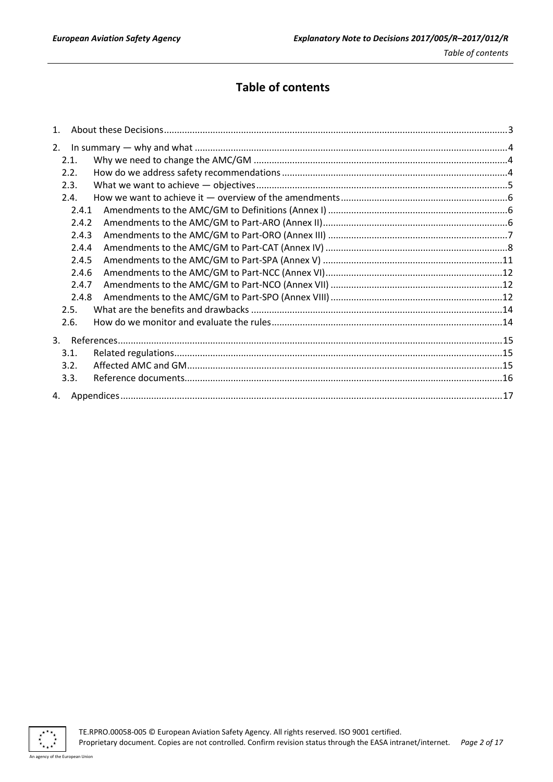## **Table of contents**

| 1 <sup>1</sup> |  |
|----------------|--|
| 2.             |  |
| 2.1.           |  |
| 2.2.           |  |
| 2.3.           |  |
| 2.4.           |  |
| 2.4.1          |  |
| 2.4.2          |  |
| 2.4.3          |  |
| 2.4.4          |  |
| 2.4.5          |  |
| 2.4.6          |  |
| 2.4.7          |  |
| 2.4.8          |  |
| 2.5.           |  |
| 2.6.           |  |
|                |  |
| 3.1.           |  |
| 3.2.           |  |
| 3.3.           |  |
|                |  |

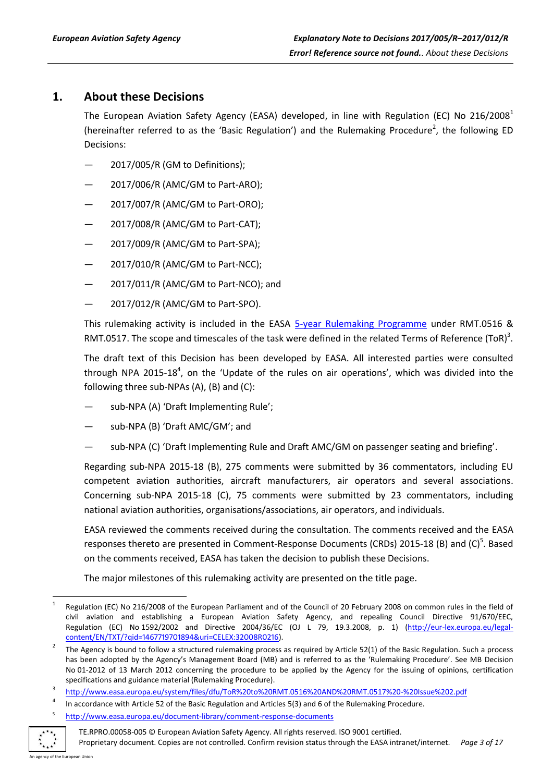## <span id="page-2-0"></span>**1. About these Decisions**

The European Aviation Safety Agency (EASA) developed, in line with Regulation (EC) No 216/2008<sup>1</sup> (hereinafter referred to as the 'Basic Regulation') and the Rulemaking Procedure<sup>2</sup>, the following ED Decisions:

- 2017/005/R (GM to Definitions);
- 2017/006/R (AMC/GM to Part-ARO);
- 2017/007/R (AMC/GM to Part-ORO);
- 2017/008/R (AMC/GM to Part-CAT);
- 2017/009/R (AMC/GM to Part-SPA);
- 2017/010/R (AMC/GM to Part-NCC);
- 2017/011/R (AMC/GM to Part-NCO); and
- 2017/012/R (AMC/GM to Part-SPO).

This rulemaking activity is included in the EASA [5-year Rulemaking Programme](http://easa.europa.eu/rulemaking/annual-programme-and-planning.php) under RMT.0516 & RMT.0517. The scope and timescales of the task were defined in the related Terms of Reference (ToR)<sup>3</sup>.

The draft text of this Decision has been developed by EASA. All interested parties were consulted through NPA 2015-18<sup>4</sup>, on the 'Update of the rules on air operations', which was divided into the following three sub-NPAs (A), (B) and (C):

- sub-NPA (A) 'Draft Implementing Rule';
- sub-NPA (B) 'Draft AMC/GM'; and
- sub-NPA (C) 'Draft Implementing Rule and Draft AMC/GM on passenger seating and briefing'.

Regarding sub-NPA 2015-18 (B), 275 comments were submitted by 36 commentators, including EU competent aviation authorities, aircraft manufacturers, air operators and several associations. Concerning sub-NPA 2015-18 (C), 75 comments were submitted by 23 commentators, including national aviation authorities, organisations/associations, air operators, and individuals.

EASA reviewed the comments received during the consultation. The comments received and the EASA responses thereto are presented in Comment-Response Documents (CRDs) 2015-18 (B) and (C)<sup>5</sup>. Based on the comments received, EASA has taken the decision to publish these Decisions.

The major milestones of this rulemaking activity are presented on the title page.

<http://www.easa.europa.eu/document-library/comment-response-documents>



5

1

<sup>1</sup> Regulation (EC) No 216/2008 of the European Parliament and of the Council of 20 February 2008 on common rules in the field of civil aviation and establishing a European Aviation Safety Agency, and repealing Council Directive 91/670/EEC, Regulation (EC) No 1592/2002 and Directive 2004/36/EC (OJ L 79, 19.3.2008, p. 1) (http://eur-[lex.europa.eu/legal](http://eur-lex.europa.eu/legal-content/EN/TXT/?qid=1467719701894&uri=CELEX:32008R0216)[content/EN/TXT/?qid=1467719701894&uri=CELEX:32008R0216\)](http://eur-lex.europa.eu/legal-content/EN/TXT/?qid=1467719701894&uri=CELEX:32008R0216).

<sup>2</sup> The Agency is bound to follow a structured rulemaking process as required by Article 52(1) of the Basic Regulation. Such a process has been adopted by the Agency's Management Board (MB) and is referred to as the 'Rulemaking Procedure'. See MB Decision No 01-2012 of 13 March 2012 concerning the procedure to be applied by the Agency for the issuing of opinions, certification specifications and guidance material (Rulemaking Procedure).

<sup>3</sup> <http://www.easa.europa.eu/system/files/dfu/ToR%20to%20RMT.0516%20AND%20RMT.0517%20-%20Issue%202.pdf>

<sup>4</sup> In accordance with Article 52 of the Basic Regulation and Articles 5(3) and 6 of the Rulemaking Procedure.

TE.RPRO.00058-005 © European Aviation Safety Agency. All rights reserved. ISO 9001 certified.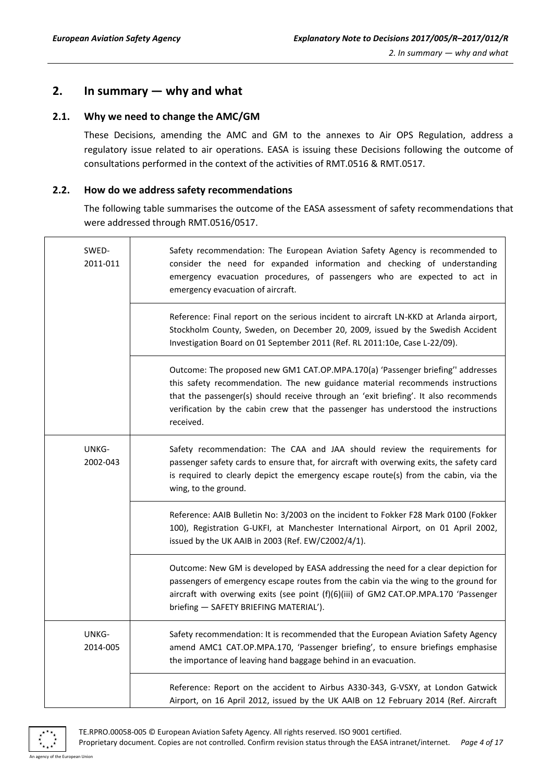## <span id="page-3-0"></span>**2. In summary — why and what**

#### <span id="page-3-1"></span>**2.1. Why we need to change the AMC/GM**

These Decisions, amending the AMC and GM to the annexes to Air OPS Regulation, address a regulatory issue related to air operations. EASA is issuing these Decisions following the outcome of consultations performed in the context of the activities of RMT.0516 & RMT.0517.

#### <span id="page-3-2"></span>**2.2. How do we address safety recommendations**

The following table summarises the outcome of the EASA assessment of safety recommendations that were addressed through RMT.0516/0517.

| SWED-<br>2011-011 | Safety recommendation: The European Aviation Safety Agency is recommended to<br>consider the need for expanded information and checking of understanding<br>emergency evacuation procedures, of passengers who are expected to act in<br>emergency evacuation of aircraft.<br>Reference: Final report on the serious incident to aircraft LN-KKD at Arlanda airport,<br>Stockholm County, Sweden, on December 20, 2009, issued by the Swedish Accident<br>Investigation Board on 01 September 2011 (Ref. RL 2011:10e, Case L-22/09). |  |
|-------------------|--------------------------------------------------------------------------------------------------------------------------------------------------------------------------------------------------------------------------------------------------------------------------------------------------------------------------------------------------------------------------------------------------------------------------------------------------------------------------------------------------------------------------------------|--|
|                   |                                                                                                                                                                                                                                                                                                                                                                                                                                                                                                                                      |  |
|                   | Outcome: The proposed new GM1 CAT.OP.MPA.170(a) 'Passenger briefing'' addresses<br>this safety recommendation. The new guidance material recommends instructions<br>that the passenger(s) should receive through an 'exit briefing'. It also recommends<br>verification by the cabin crew that the passenger has understood the instructions<br>received.                                                                                                                                                                            |  |
| UNKG-<br>2002-043 | Safety recommendation: The CAA and JAA should review the requirements for<br>passenger safety cards to ensure that, for aircraft with overwing exits, the safety card<br>is required to clearly depict the emergency escape route(s) from the cabin, via the<br>wing, to the ground.                                                                                                                                                                                                                                                 |  |
|                   | Reference: AAIB Bulletin No: 3/2003 on the incident to Fokker F28 Mark 0100 (Fokker<br>100), Registration G-UKFI, at Manchester International Airport, on 01 April 2002,<br>issued by the UK AAIB in 2003 (Ref. EW/C2002/4/1).                                                                                                                                                                                                                                                                                                       |  |
|                   | Outcome: New GM is developed by EASA addressing the need for a clear depiction for<br>passengers of emergency escape routes from the cabin via the wing to the ground for<br>aircraft with overwing exits (see point (f)(6)(iii) of GM2 CAT.OP.MPA.170 'Passenger<br>briefing - SAFETY BRIEFING MATERIAL').                                                                                                                                                                                                                          |  |
| UNKG-<br>2014-005 | Safety recommendation: It is recommended that the European Aviation Safety Agency<br>amend AMC1 CAT.OP.MPA.170, 'Passenger briefing', to ensure briefings emphasise<br>the importance of leaving hand baggage behind in an evacuation.                                                                                                                                                                                                                                                                                               |  |
|                   | Reference: Report on the accident to Airbus A330-343, G-VSXY, at London Gatwick<br>Airport, on 16 April 2012, issued by the UK AAIB on 12 February 2014 (Ref. Aircraft                                                                                                                                                                                                                                                                                                                                                               |  |



TE.RPRO.00058-005 © European Aviation Safety Agency. All rights reserved. ISO 9001 certified. Proprietary document. Copies are not controlled. Confirm revision status through the EASA intranet/internet. *Page 4 of 17*

An agency of the European Union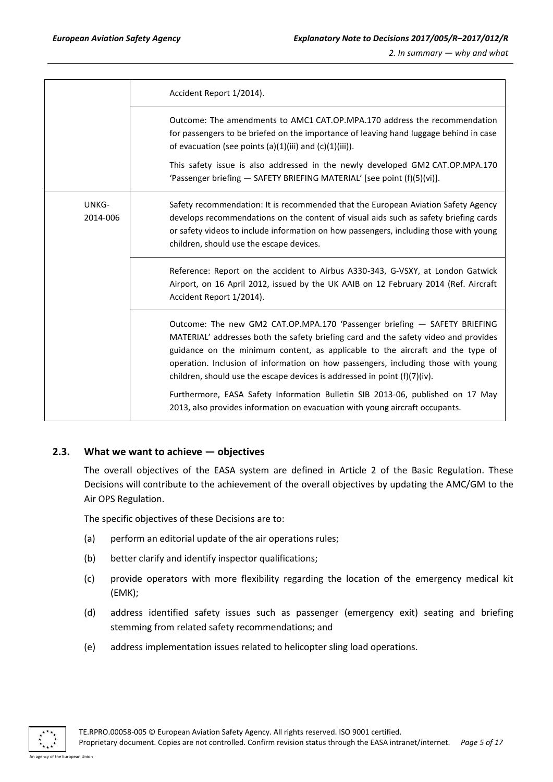|                   | Accident Report 1/2014).                                                                                                                                                                                                                                                                                                                                                                                             |
|-------------------|----------------------------------------------------------------------------------------------------------------------------------------------------------------------------------------------------------------------------------------------------------------------------------------------------------------------------------------------------------------------------------------------------------------------|
|                   | Outcome: The amendments to AMC1 CAT.OP.MPA.170 address the recommendation<br>for passengers to be briefed on the importance of leaving hand luggage behind in case<br>of evacuation (see points $(a)(1)(iii)$ and $(c)(1)(iii)$ ).                                                                                                                                                                                   |
|                   | This safety issue is also addressed in the newly developed GM2 CAT.OP.MPA.170<br>'Passenger briefing - SAFETY BRIEFING MATERIAL' [see point (f)(5)(vi)].                                                                                                                                                                                                                                                             |
| UNKG-<br>2014-006 | Safety recommendation: It is recommended that the European Aviation Safety Agency<br>develops recommendations on the content of visual aids such as safety briefing cards<br>or safety videos to include information on how passengers, including those with young<br>children, should use the escape devices.                                                                                                       |
|                   | Reference: Report on the accident to Airbus A330-343, G-VSXY, at London Gatwick<br>Airport, on 16 April 2012, issued by the UK AAIB on 12 February 2014 (Ref. Aircraft<br>Accident Report 1/2014).                                                                                                                                                                                                                   |
|                   | Outcome: The new GM2 CAT.OP.MPA.170 'Passenger briefing - SAFETY BRIEFING<br>MATERIAL' addresses both the safety briefing card and the safety video and provides<br>guidance on the minimum content, as applicable to the aircraft and the type of<br>operation. Inclusion of information on how passengers, including those with young<br>children, should use the escape devices is addressed in point (f)(7)(iv). |
|                   | Furthermore, EASA Safety Information Bulletin SIB 2013-06, published on 17 May<br>2013, also provides information on evacuation with young aircraft occupants.                                                                                                                                                                                                                                                       |

#### <span id="page-4-0"></span>**2.3. What we want to achieve — objectives**

The overall objectives of the EASA system are defined in Article 2 of the Basic Regulation. These Decisions will contribute to the achievement of the overall objectives by updating the AMC/GM to the Air OPS Regulation.

The specific objectives of these Decisions are to:

- (a) perform an editorial update of the air operations rules;
- (b) better clarify and identify inspector qualifications;
- (c) provide operators with more flexibility regarding the location of the emergency medical kit (EMK);
- (d) address identified safety issues such as passenger (emergency exit) seating and briefing stemming from related safety recommendations; and
- (e) address implementation issues related to helicopter sling load operations.

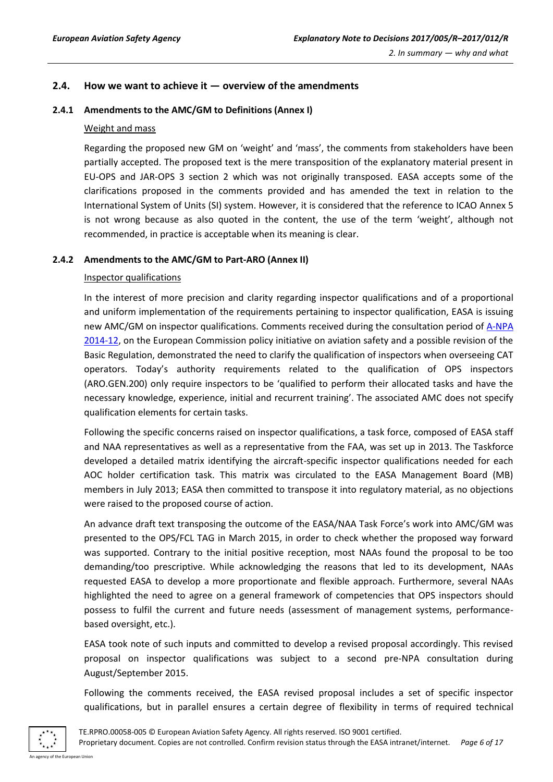#### <span id="page-5-0"></span>**2.4. How we want to achieve it — overview of the amendments**

#### <span id="page-5-1"></span>**2.4.1 Amendments to the AMC/GM to Definitions (Annex I)**

#### Weight and mass

Regarding the proposed new GM on 'weight' and 'mass', the comments from stakeholders have been partially accepted. The proposed text is the mere transposition of the explanatory material present in EU-OPS and JAR-OPS 3 section 2 which was not originally transposed. EASA accepts some of the clarifications proposed in the comments provided and has amended the text in relation to the International System of Units (SI) system. However, it is considered that the reference to ICAO Annex 5 is not wrong because as also quoted in the content, the use of the term 'weight', although not recommended, in practice is acceptable when its meaning is clear.

#### <span id="page-5-2"></span>**2.4.2 Amendments to the AMC/GM to Part-ARO (Annex II)**

#### Inspector qualifications

In the interest of more precision and clarity regarding inspector qualifications and of a proportional and uniform implementation of the requirements pertaining to inspector qualification, EASA is issuing new AMC/GM on inspector qualifications. Comments received during the consultation period of [A-NPA](http://www.easa.europa.eu/system/files/dfu/A-NPA%202014-12.pd)  [2014-12,](http://www.easa.europa.eu/system/files/dfu/A-NPA%202014-12.pd) on the European Commission policy initiative on aviation safety and a possible revision of the Basic Regulation, demonstrated the need to clarify the qualification of inspectors when overseeing CAT operators. Today's authority requirements related to the qualification of OPS inspectors (ARO.GEN.200) only require inspectors to be 'qualified to perform their allocated tasks and have the necessary knowledge, experience, initial and recurrent training'. The associated AMC does not specify qualification elements for certain tasks.

Following the specific concerns raised on inspector qualifications, a task force, composed of EASA staff and NAA representatives as well as a representative from the FAA, was set up in 2013. The Taskforce developed a detailed matrix identifying the aircraft-specific inspector qualifications needed for each AOC holder certification task. This matrix was circulated to the EASA Management Board (MB) members in July 2013; EASA then committed to transpose it into regulatory material, as no objections were raised to the proposed course of action.

An advance draft text transposing the outcome of the EASA/NAA Task Force's work into AMC/GM was presented to the OPS/FCL TAG in March 2015, in order to check whether the proposed way forward was supported. Contrary to the initial positive reception, most NAAs found the proposal to be too demanding/too prescriptive. While acknowledging the reasons that led to its development, NAAs requested EASA to develop a more proportionate and flexible approach. Furthermore, several NAAs highlighted the need to agree on a general framework of competencies that OPS inspectors should possess to fulfil the current and future needs (assessment of management systems, performancebased oversight, etc.).

EASA took note of such inputs and committed to develop a revised proposal accordingly. This revised proposal on inspector qualifications was subject to a second pre-NPA consultation during August/September 2015.

Following the comments received, the EASA revised proposal includes a set of specific inspector qualifications, but in parallel ensures a certain degree of flexibility in terms of required technical



TE.RPRO.00058-005 © European Aviation Safety Agency. All rights reserved. ISO 9001 certified.

Proprietary document. Copies are not controlled. Confirm revision status through the EASA intranet/internet. *Page 6 of 17* An agency of the European Union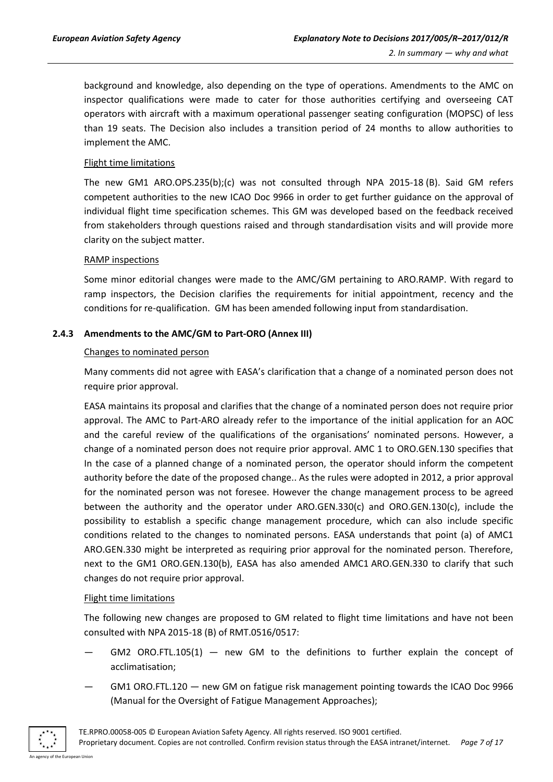background and knowledge, also depending on the type of operations. Amendments to the AMC on inspector qualifications were made to cater for those authorities certifying and overseeing CAT operators with aircraft with a maximum operational passenger seating configuration (MOPSC) of less than 19 seats. The Decision also includes a transition period of 24 months to allow authorities to implement the AMC.

#### Flight time limitations

The new GM1 ARO.OPS.235(b);(c) was not consulted through NPA 2015-18 (B). Said GM refers competent authorities to the new ICAO Doc 9966 in order to get further guidance on the approval of individual flight time specification schemes. This GM was developed based on the feedback received from stakeholders through questions raised and through standardisation visits and will provide more clarity on the subject matter.

#### RAMP inspections

Some minor editorial changes were made to the AMC/GM pertaining to ARO.RAMP. With regard to ramp inspectors, the Decision clarifies the requirements for initial appointment, recency and the conditions for re-qualification. GM has been amended following input from standardisation.

#### <span id="page-6-0"></span>**2.4.3 Amendments to the AMC/GM to Part-ORO (Annex III)**

#### Changes to nominated person

Many comments did not agree with EASA's clarification that a change of a nominated person does not require prior approval.

EASA maintains its proposal and clarifies that the change of a nominated person does not require prior approval. The AMC to Part-ARO already refer to the importance of the initial application for an AOC and the careful review of the qualifications of the organisations' nominated persons. However, a change of a nominated person does not require prior approval. AMC 1 to ORO.GEN.130 specifies that In the case of a planned change of a nominated person, the operator should inform the competent authority before the date of the proposed change.. As the rules were adopted in 2012, a prior approval for the nominated person was not foresee. However the change management process to be agreed between the authority and the operator under ARO.GEN.330(c) and ORO.GEN.130(c), include the possibility to establish a specific change management procedure, which can also include specific conditions related to the changes to nominated persons. EASA understands that point (a) of AMC1 ARO.GEN.330 might be interpreted as requiring prior approval for the nominated person. Therefore, next to the GM1 ORO.GEN.130(b), EASA has also amended AMC1 ARO.GEN.330 to clarify that such changes do not require prior approval.

#### Flight time limitations

The following new changes are proposed to GM related to flight time limitations and have not been consulted with NPA 2015-18 (B) of RMT.0516/0517:

- GM2 ORO.FTL.105(1)  $-$  new GM to the definitions to further explain the concept of acclimatisation;
- GM1 ORO.FTL.120 new GM on fatigue risk management pointing towards the ICAO Doc 9966 (Manual for the Oversight of Fatigue Management Approaches);



TE.RPRO.00058-005 © European Aviation Safety Agency. All rights reserved. ISO 9001 certified. Proprietary document. Copies are not controlled. Confirm revision status through the EASA intranet/internet. *Page 7 of 17*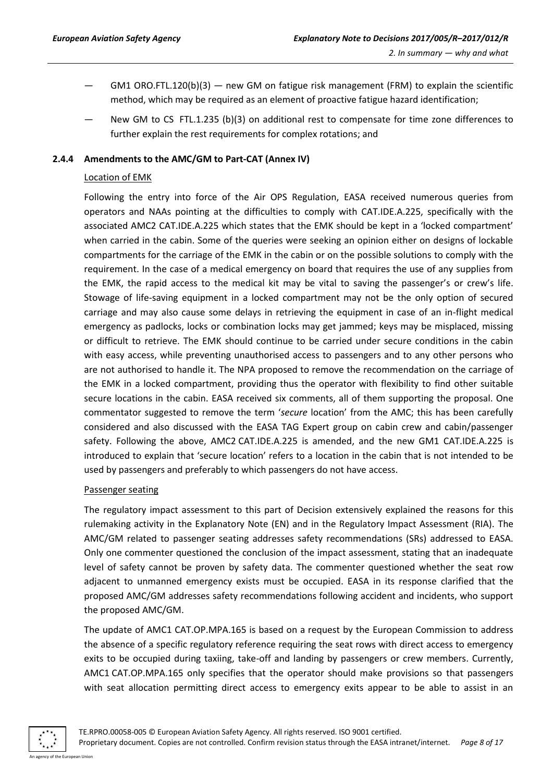- $GM1 ORO.FTL.120(b)(3)$  new GM on fatigue risk management (FRM) to explain the scientific method, which may be required as an element of proactive fatigue hazard identification;
- New GM to CS FTL.1.235 (b)(3) on additional rest to compensate for time zone differences to further explain the rest requirements for complex rotations; and

#### <span id="page-7-0"></span>**2.4.4 Amendments to the AMC/GM to Part-CAT (Annex IV)**

#### Location of EMK

Following the entry into force of the Air OPS Regulation, EASA received numerous queries from operators and NAAs pointing at the difficulties to comply with CAT.IDE.A.225, specifically with the associated AMC2 CAT.IDE.A.225 which states that the EMK should be kept in a 'locked compartment' when carried in the cabin. Some of the queries were seeking an opinion either on designs of lockable compartments for the carriage of the EMK in the cabin or on the possible solutions to comply with the requirement. In the case of a medical emergency on board that requires the use of any supplies from the EMK, the rapid access to the medical kit may be vital to saving the passenger's or crew's life. Stowage of life-saving equipment in a locked compartment may not be the only option of secured carriage and may also cause some delays in retrieving the equipment in case of an in-flight medical emergency as padlocks, locks or combination locks may get jammed; keys may be misplaced, missing or difficult to retrieve. The EMK should continue to be carried under secure conditions in the cabin with easy access, while preventing unauthorised access to passengers and to any other persons who are not authorised to handle it. The NPA proposed to remove the recommendation on the carriage of the EMK in a locked compartment, providing thus the operator with flexibility to find other suitable secure locations in the cabin. EASA received six comments, all of them supporting the proposal. One commentator suggested to remove the term '*secure* location' from the AMC; this has been carefully considered and also discussed with the EASA TAG Expert group on cabin crew and cabin/passenger safety. Following the above, AMC2 CAT.IDE.A.225 is amended, and the new GM1 CAT.IDE.A.225 is introduced to explain that 'secure location' refers to a location in the cabin that is not intended to be used by passengers and preferably to which passengers do not have access.

#### Passenger seating

The regulatory impact assessment to this part of Decision extensively explained the reasons for this rulemaking activity in the Explanatory Note (EN) and in the Regulatory Impact Assessment (RIA). The AMC/GM related to passenger seating addresses safety recommendations (SRs) addressed to EASA. Only one commenter questioned the conclusion of the impact assessment, stating that an inadequate level of safety cannot be proven by safety data. The commenter questioned whether the seat row adjacent to unmanned emergency exists must be occupied. EASA in its response clarified that the proposed AMC/GM addresses safety recommendations following accident and incidents, who support the proposed AMC/GM.

The update of AMC1 CAT.OP.MPA.165 is based on a request by the European Commission to address the absence of a specific regulatory reference requiring the seat rows with direct access to emergency exits to be occupied during taxiing, take-off and landing by passengers or crew members. Currently, AMC1 CAT.OP.MPA.165 only specifies that the operator should make provisions so that passengers with seat allocation permitting direct access to emergency exits appear to be able to assist in an

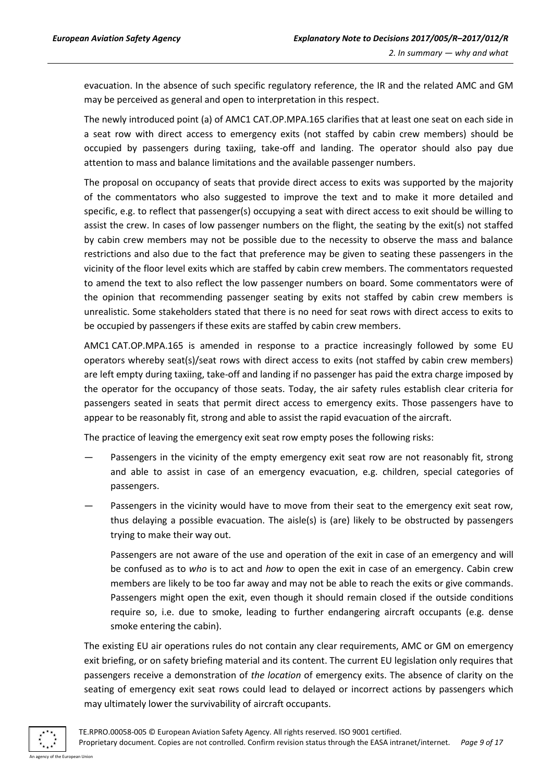evacuation. In the absence of such specific regulatory reference, the IR and the related AMC and GM may be perceived as general and open to interpretation in this respect.

The newly introduced point (a) of AMC1 CAT.OP.MPA.165 clarifies that at least one seat on each side in a seat row with direct access to emergency exits (not staffed by cabin crew members) should be occupied by passengers during taxiing, take-off and landing. The operator should also pay due attention to mass and balance limitations and the available passenger numbers.

The proposal on occupancy of seats that provide direct access to exits was supported by the majority of the commentators who also suggested to improve the text and to make it more detailed and specific, e.g. to reflect that passenger(s) occupying a seat with direct access to exit should be willing to assist the crew. In cases of low passenger numbers on the flight, the seating by the exit(s) not staffed by cabin crew members may not be possible due to the necessity to observe the mass and balance restrictions and also due to the fact that preference may be given to seating these passengers in the vicinity of the floor level exits which are staffed by cabin crew members. The commentators requested to amend the text to also reflect the low passenger numbers on board. Some commentators were of the opinion that recommending passenger seating by exits not staffed by cabin crew members is unrealistic. Some stakeholders stated that there is no need for seat rows with direct access to exits to be occupied by passengers if these exits are staffed by cabin crew members.

AMC1 CAT.OP.MPA.165 is amended in response to a practice increasingly followed by some EU operators whereby seat(s)/seat rows with direct access to exits (not staffed by cabin crew members) are left empty during taxiing, take-off and landing if no passenger has paid the extra charge imposed by the operator for the occupancy of those seats. Today, the air safety rules establish clear criteria for passengers seated in seats that permit direct access to emergency exits. Those passengers have to appear to be reasonably fit, strong and able to assist the rapid evacuation of the aircraft.

The practice of leaving the emergency exit seat row empty poses the following risks:

- Passengers in the vicinity of the empty emergency exit seat row are not reasonably fit, strong and able to assist in case of an emergency evacuation, e.g. children, special categories of passengers.
- Passengers in the vicinity would have to move from their seat to the emergency exit seat row, thus delaying a possible evacuation. The aisle(s) is (are) likely to be obstructed by passengers trying to make their way out.

Passengers are not aware of the use and operation of the exit in case of an emergency and will be confused as to *who* is to act and *how* to open the exit in case of an emergency. Cabin crew members are likely to be too far away and may not be able to reach the exits or give commands. Passengers might open the exit, even though it should remain closed if the outside conditions require so, i.e. due to smoke, leading to further endangering aircraft occupants (e.g. dense smoke entering the cabin).

The existing EU air operations rules do not contain any clear requirements, AMC or GM on emergency exit briefing, or on safety briefing material and its content. The current EU legislation only requires that passengers receive a demonstration of *the location* of emergency exits. The absence of clarity on the seating of emergency exit seat rows could lead to delayed or incorrect actions by passengers which may ultimately lower the survivability of aircraft occupants.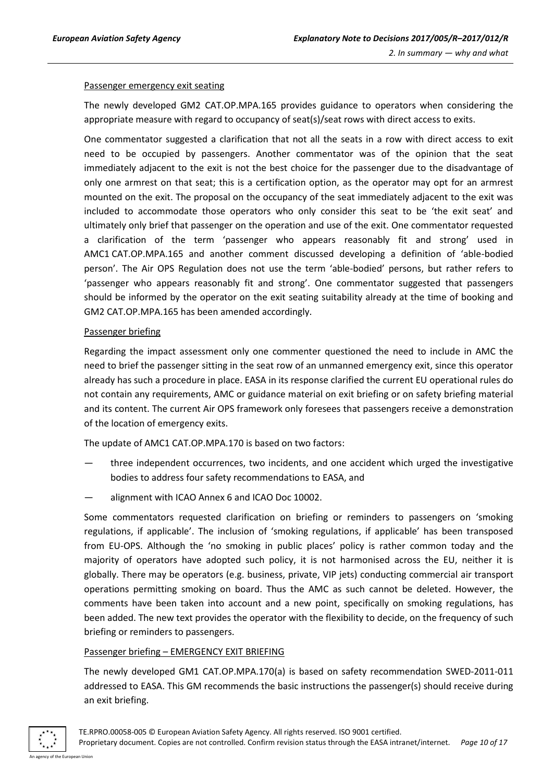#### Passenger emergency exit seating

The newly developed GM2 CAT.OP.MPA.165 provides guidance to operators when considering the appropriate measure with regard to occupancy of seat(s)/seat rows with direct access to exits.

One commentator suggested a clarification that not all the seats in a row with direct access to exit need to be occupied by passengers. Another commentator was of the opinion that the seat immediately adjacent to the exit is not the best choice for the passenger due to the disadvantage of only one armrest on that seat; this is a certification option, as the operator may opt for an armrest mounted on the exit. The proposal on the occupancy of the seat immediately adjacent to the exit was included to accommodate those operators who only consider this seat to be 'the exit seat' and ultimately only brief that passenger on the operation and use of the exit. One commentator requested a clarification of the term 'passenger who appears reasonably fit and strong' used in AMC1 CAT.OP.MPA.165 and another comment discussed developing a definition of 'able-bodied person'. The Air OPS Regulation does not use the term 'able-bodied' persons, but rather refers to 'passenger who appears reasonably fit and strong'. One commentator suggested that passengers should be informed by the operator on the exit seating suitability already at the time of booking and GM2 CAT.OP.MPA.165 has been amended accordingly.

#### Passenger briefing

Regarding the impact assessment only one commenter questioned the need to include in AMC the need to brief the passenger sitting in the seat row of an unmanned emergency exit, since this operator already has such a procedure in place. EASA in its response clarified the current EU operational rules do not contain any requirements, AMC or guidance material on exit briefing or on safety briefing material and its content. The current Air OPS framework only foresees that passengers receive a demonstration of the location of emergency exits.

The update of AMC1 CAT.OP.MPA.170 is based on two factors:

- three independent occurrences, two incidents, and one accident which urged the investigative bodies to address four safety recommendations to EASA, and
- alignment with ICAO Annex 6 and ICAO Doc 10002.

Some commentators requested clarification on briefing or reminders to passengers on 'smoking regulations, if applicable'. The inclusion of 'smoking regulations, if applicable' has been transposed from EU-OPS. Although the 'no smoking in public places' policy is rather common today and the majority of operators have adopted such policy, it is not harmonised across the EU, neither it is globally. There may be operators (e.g. business, private, VIP jets) conducting commercial air transport operations permitting smoking on board. Thus the AMC as such cannot be deleted. However, the comments have been taken into account and a new point, specifically on smoking regulations, has been added. The new text provides the operator with the flexibility to decide, on the frequency of such briefing or reminders to passengers.

#### Passenger briefing – EMERGENCY EXIT BRIEFING

The newly developed GM1 CAT.OP.MPA.170(a) is based on safety recommendation SWED-2011-011 addressed to EASA. This GM recommends the basic instructions the passenger(s) should receive during an exit briefing.

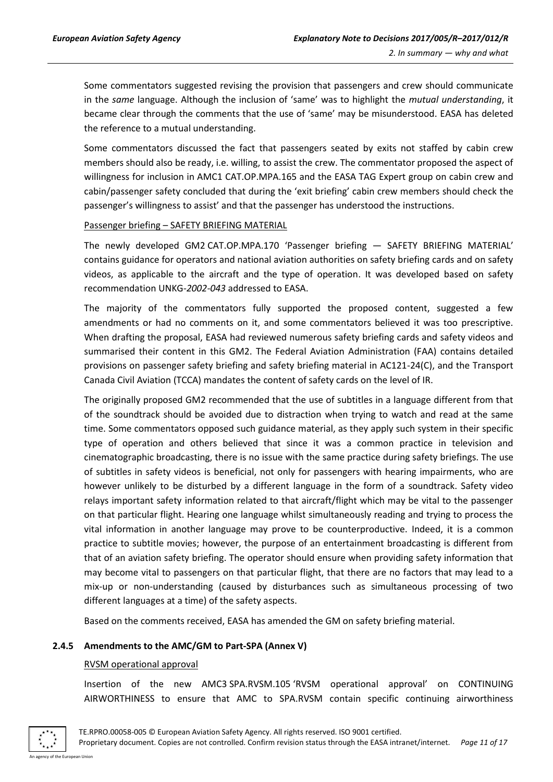Some commentators suggested revising the provision that passengers and crew should communicate in the *same* language. Although the inclusion of 'same' was to highlight the *mutual understanding*, it became clear through the comments that the use of 'same' may be misunderstood. EASA has deleted the reference to a mutual understanding.

Some commentators discussed the fact that passengers seated by exits not staffed by cabin crew members should also be ready, i.e. willing, to assist the crew. The commentator proposed the aspect of willingness for inclusion in AMC1 CAT.OP.MPA.165 and the EASA TAG Expert group on cabin crew and cabin/passenger safety concluded that during the 'exit briefing' cabin crew members should check the passenger's willingness to assist' and that the passenger has understood the instructions.

#### Passenger briefing – SAFETY BRIEFING MATERIAL

The newly developed GM2 CAT.OP.MPA.170 'Passenger briefing — SAFETY BRIEFING MATERIAL' contains guidance for operators and national aviation authorities on safety briefing cards and on safety videos, as applicable to the aircraft and the type of operation. It was developed based on safety recommendation UNKG*-2002-043* addressed to EASA.

The majority of the commentators fully supported the proposed content, suggested a few amendments or had no comments on it, and some commentators believed it was too prescriptive. When drafting the proposal, EASA had reviewed numerous safety briefing cards and safety videos and summarised their content in this GM2. The Federal Aviation Administration (FAA) contains detailed provisions on passenger safety briefing and safety briefing material in AC121-24(C), and the Transport Canada Civil Aviation (TCCA) mandates the content of safety cards on the level of IR.

The originally proposed GM2 recommended that the use of subtitles in a language different from that of the soundtrack should be avoided due to distraction when trying to watch and read at the same time. Some commentators opposed such guidance material, as they apply such system in their specific type of operation and others believed that since it was a common practice in television and cinematographic broadcasting, there is no issue with the same practice during safety briefings. The use of subtitles in safety videos is beneficial, not only for passengers with hearing impairments, who are however unlikely to be disturbed by a different language in the form of a soundtrack. Safety video relays important safety information related to that aircraft/flight which may be vital to the passenger on that particular flight. Hearing one language whilst simultaneously reading and trying to process the vital information in another language may prove to be counterproductive. Indeed, it is a common practice to subtitle movies; however, the purpose of an entertainment broadcasting is different from that of an aviation safety briefing. The operator should ensure when providing safety information that may become vital to passengers on that particular flight, that there are no factors that may lead to a mix-up or non-understanding (caused by disturbances such as simultaneous processing of two different languages at a time) of the safety aspects.

Based on the comments received, EASA has amended the GM on safety briefing material.

#### <span id="page-10-0"></span>**2.4.5 Amendments to the AMC/GM to Part-SPA (Annex V)**

#### RVSM operational approval

Insertion of the new AMC3 SPA.RVSM.105 'RVSM operational approval' on CONTINUING AIRWORTHINESS to ensure that AMC to SPA.RVSM contain specific continuing airworthiness



TE.RPRO.00058-005 © European Aviation Safety Agency. All rights reserved. ISO 9001 certified. Proprietary document. Copies are not controlled. Confirm revision status through the EASA intranet/internet. *Page 11 of 17*

An agency of the European Union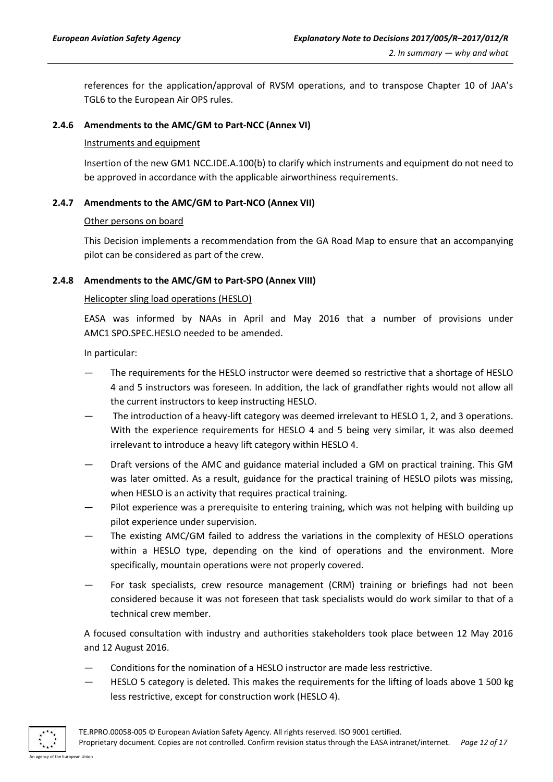references for the application/approval of RVSM operations, and to transpose Chapter 10 of JAA's TGL6 to the European Air OPS rules.

#### <span id="page-11-0"></span>**2.4.6 Amendments to the AMC/GM to Part-NCC (Annex VI)**

#### Instruments and equipment

Insertion of the new GM1 NCC.IDE.A.100(b) to clarify which instruments and equipment do not need to be approved in accordance with the applicable airworthiness requirements.

#### <span id="page-11-1"></span>**2.4.7 Amendments to the AMC/GM to Part-NCO (Annex VII)**

#### Other persons on board

This Decision implements a recommendation from the GA Road Map to ensure that an accompanying pilot can be considered as part of the crew.

#### <span id="page-11-2"></span>**2.4.8 Amendments to the AMC/GM to Part-SPO (Annex VIII)**

#### Helicopter sling load operations (HESLO)

EASA was informed by NAAs in April and May 2016 that a number of provisions under AMC1 SPO.SPEC.HESLO needed to be amended.

In particular:

- The requirements for the HESLO instructor were deemed so restrictive that a shortage of HESLO 4 and 5 instructors was foreseen. In addition, the lack of grandfather rights would not allow all the current instructors to keep instructing HESLO.
- The introduction of a heavy-lift category was deemed irrelevant to HESLO 1, 2, and 3 operations. With the experience requirements for HESLO 4 and 5 being very similar, it was also deemed irrelevant to introduce a heavy lift category within HESLO 4.
- Draft versions of the AMC and guidance material included a GM on practical training. This GM was later omitted. As a result, guidance for the practical training of HESLO pilots was missing, when HESLO is an activity that requires practical training.
- Pilot experience was a prerequisite to entering training, which was not helping with building up pilot experience under supervision.
- The existing AMC/GM failed to address the variations in the complexity of HESLO operations within a HESLO type, depending on the kind of operations and the environment. More specifically, mountain operations were not properly covered.
- For task specialists, crew resource management (CRM) training or briefings had not been considered because it was not foreseen that task specialists would do work similar to that of a technical crew member.

A focused consultation with industry and authorities stakeholders took place between 12 May 2016 and 12 August 2016.

- Conditions for the nomination of a HESLO instructor are made less restrictive.
- HESLO 5 category is deleted. This makes the requirements for the lifting of loads above 1 500 kg less restrictive, except for construction work (HESLO 4).

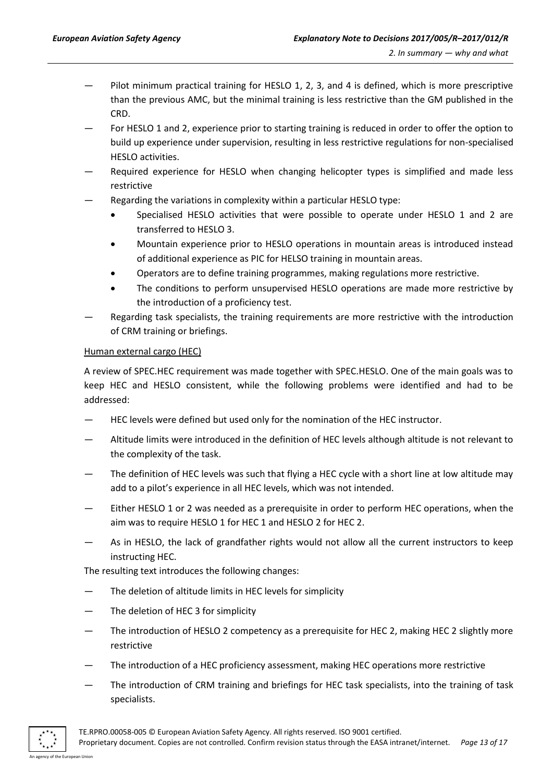- Pilot minimum practical training for HESLO 1, 2, 3, and 4 is defined, which is more prescriptive than the previous AMC, but the minimal training is less restrictive than the GM published in the CRD.
- For HESLO 1 and 2, experience prior to starting training is reduced in order to offer the option to build up experience under supervision, resulting in less restrictive regulations for non-specialised HESLO activities.
- Required experience for HESLO when changing helicopter types is simplified and made less restrictive
- Regarding the variations in complexity within a particular HESLO type:
	- Specialised HESLO activities that were possible to operate under HESLO 1 and 2 are transferred to HESLO 3.
	- Mountain experience prior to HESLO operations in mountain areas is introduced instead of additional experience as PIC for HELSO training in mountain areas.
	- Operators are to define training programmes, making regulations more restrictive.
	- The conditions to perform unsupervised HESLO operations are made more restrictive by the introduction of a proficiency test.
- Regarding task specialists, the training requirements are more restrictive with the introduction of CRM training or briefings.

#### Human external cargo (HEC)

A review of SPEC.HEC requirement was made together with SPEC.HESLO. One of the main goals was to keep HEC and HESLO consistent, while the following problems were identified and had to be addressed:

- HEC levels were defined but used only for the nomination of the HEC instructor.
- Altitude limits were introduced in the definition of HEC levels although altitude is not relevant to the complexity of the task.
- The definition of HEC levels was such that flying a HEC cycle with a short line at low altitude may add to a pilot's experience in all HEC levels, which was not intended.
- Either HESLO 1 or 2 was needed as a prerequisite in order to perform HEC operations, when the aim was to require HESLO 1 for HEC 1 and HESLO 2 for HEC 2.
- As in HESLO, the lack of grandfather rights would not allow all the current instructors to keep instructing HEC.

The resulting text introduces the following changes:

- The deletion of altitude limits in HEC levels for simplicity
- The deletion of HEC 3 for simplicity
- The introduction of HESLO 2 competency as a prerequisite for HEC 2, making HEC 2 slightly more restrictive
- The introduction of a HEC proficiency assessment, making HEC operations more restrictive
- The introduction of CRM training and briefings for HEC task specialists, into the training of task specialists.



TE.RPRO.00058-005 © European Aviation Safety Agency. All rights reserved. ISO 9001 certified.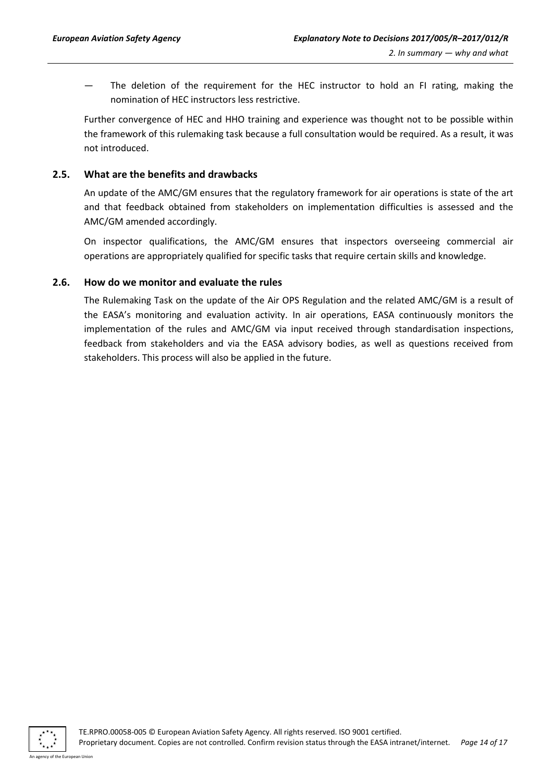The deletion of the requirement for the HEC instructor to hold an FI rating, making the nomination of HEC instructors less restrictive.

Further convergence of HEC and HHO training and experience was thought not to be possible within the framework of this rulemaking task because a full consultation would be required. As a result, it was not introduced.

#### <span id="page-13-0"></span>**2.5. What are the benefits and drawbacks**

An update of the AMC/GM ensures that the regulatory framework for air operations is state of the art and that feedback obtained from stakeholders on implementation difficulties is assessed and the AMC/GM amended accordingly.

On inspector qualifications, the AMC/GM ensures that inspectors overseeing commercial air operations are appropriately qualified for specific tasks that require certain skills and knowledge.

#### <span id="page-13-1"></span>**2.6. How do we monitor and evaluate the rules**

The Rulemaking Task on the update of the Air OPS Regulation and the related AMC/GM is a result of the EASA's monitoring and evaluation activity. In air operations, EASA continuously monitors the implementation of the rules and AMC/GM via input received through standardisation inspections, feedback from stakeholders and via the EASA advisory bodies, as well as questions received from stakeholders. This process will also be applied in the future.



An agency of the European Union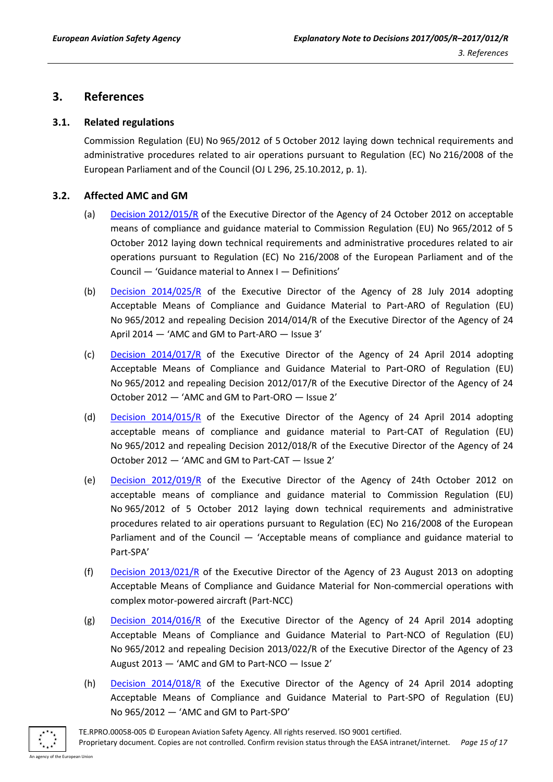### <span id="page-14-0"></span>**3. References**

#### <span id="page-14-1"></span>**3.1. Related regulations**

Commission Regulation (EU) No 965/2012 of 5 October 2012 laying down technical requirements and administrative procedures related to air operations pursuant to Regulation (EC) No 216/2008 of the European Parliament and of the Council (OJ L 296, 25.10.2012, p. 1).

#### <span id="page-14-2"></span>**3.2. Affected AMC and GM**

- (a) [Decision 2012/015/R](http://easa.europa.eu/document-library/agency-decisions/ed-decision-2012015r) of the Executive Director of the Agency of 24 October 2012 on acceptable means of compliance and guidance material to Commission Regulation (EU) No 965/2012 of 5 October 2012 laying down technical requirements and administrative procedures related to air operations pursuant to Regulation (EC) No 216/2008 of the European Parliament and of the Council — 'Guidance material to Annex I — Definitions'
- (b) [Decision 2014/025/R](http://easa.europa.eu/document-library/acceptable-means-of-compliance-and-guidance-materials/part-aro-amc-gm-issue-3) of the Executive Director of the Agency of 28 July 2014 adopting Acceptable Means of Compliance and Guidance Material to Part-ARO of Regulation (EU) No 965/2012 and repealing Decision 2014/014/R of the Executive Director of the Agency of 24 April 2014 — 'AMC and GM to Part-ARO — Issue 3'
- (c) [Decision 2014/017/R](http://easa.europa.eu/document-library/acceptable-means-of-compliance-and-guidance-materials/part-oro-amc-gm-issue-2) of the Executive Director of the Agency of 24 April 2014 adopting Acceptable Means of Compliance and Guidance Material to Part-ORO of Regulation (EU) No 965/2012 and repealing Decision 2012/017/R of the Executive Director of the Agency of 24 October 2012 — 'AMC and GM to Part-ORO — Issue 2'
- (d) [Decision 2014/015/R](http://easa.europa.eu/document-library/acceptable-means-of-compliance-and-guidance-materials/part-cat-amc-gm-issue-2) of the Executive Director of the Agency of 24 April 2014 adopting acceptable means of compliance and guidance material to Part-CAT of Regulation (EU) No 965/2012 and repealing Decision 2012/018/R of the Executive Director of the Agency of 24 October 2012 — 'AMC and GM to Part-CAT — Issue 2'
- (e) [Decision 2012/019/R](http://easa.europa.eu/document-library/acceptable-means-of-compliance-and-guidance-materials/part-spa-amc-gm) of the Executive Director of the Agency of 24th October 2012 on acceptable means of compliance and guidance material to Commission Regulation (EU) No 965/2012 of 5 October 2012 laying down technical requirements and administrative procedures related to air operations pursuant to Regulation (EC) No 216/2008 of the European Parliament and of the Council — 'Acceptable means of compliance and guidance material to Part-SPA'
- (f) [Decision 2013/021/R](http://easa.europa.eu/document-library/acceptable-means-of-compliance-and-guidance-materials/part-ncc-amc-gm) of the Executive Director of the Agency of 23 August 2013 on adopting Acceptable Means of Compliance and Guidance Material for Non-commercial operations with complex motor-powered aircraft (Part-NCC)
- (g) [Decision 2014/016/R](http://easa.europa.eu/document-library/acceptable-means-of-compliance-and-guidance-materials/part-nco-amc-gm-issue-2) of the Executive Director of the Agency of 24 April 2014 adopting Acceptable Means of Compliance and Guidance Material to Part-NCO of Regulation (EU) No 965/2012 and repealing Decision 2013/022/R of the Executive Director of the Agency of 23 August 2013 — 'AMC and GM to Part-NCO — Issue 2'
- (h) [Decision 2014/018/R](http://www.easa.europa.eu/document-library/agency-decisions/ed-decision-2014018r) of the Executive Director of the Agency of 24 April 2014 adopting Acceptable Means of Compliance and Guidance Material to Part-SPO of Regulation (EU) No 965/2012 — 'AMC and GM to Part-SPO'

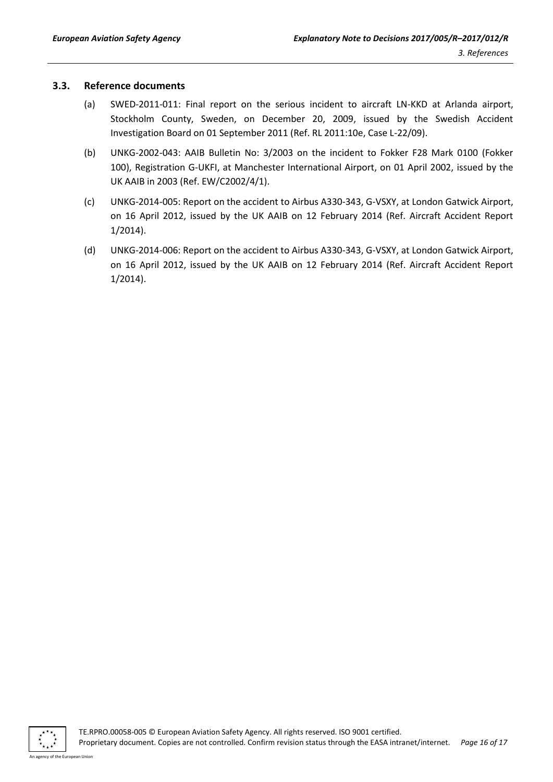#### <span id="page-15-0"></span>**3.3. Reference documents**

- (a) SWED-2011-011: Final report on the serious incident to aircraft LN-KKD at Arlanda airport, Stockholm County, Sweden, on December 20, 2009, issued by the Swedish Accident Investigation Board on 01 September 2011 (Ref. RL 2011:10e, Case L-22/09).
- (b) UNKG-2002-043: AAIB Bulletin No: 3/2003 on the incident to Fokker F28 Mark 0100 (Fokker 100), Registration G-UKFI, at Manchester International Airport, on 01 April 2002, issued by the UK AAIB in 2003 (Ref. EW/C2002/4/1).
- (c) UNKG-2014-005: Report on the accident to Airbus A330-343, G-VSXY, at London Gatwick Airport, on 16 April 2012, issued by the UK AAIB on 12 February 2014 (Ref. Aircraft Accident Report 1/2014).
- (d) UNKG-2014-006: Report on the accident to Airbus A330-343, G-VSXY, at London Gatwick Airport, on 16 April 2012, issued by the UK AAIB on 12 February 2014 (Ref. Aircraft Accident Report 1/2014).